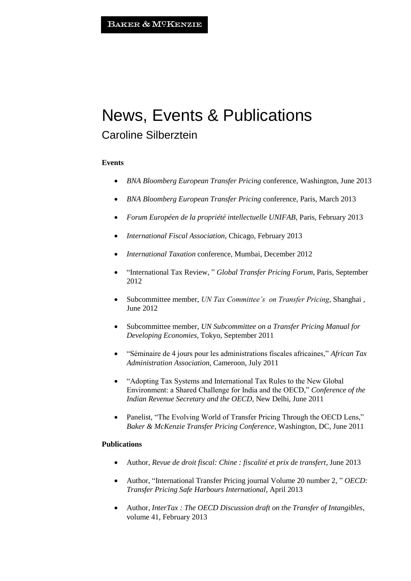# News, Events & Publications

## Caroline Silberztein

#### **Events**

- *BNA Bloomberg European Transfer Pricing* conference, Washington, June 2013
- *BNA Bloomberg European Transfer Pricing* conference, Paris, March 2013
- *Forum Européen de la propriété intellectuelle UNIFAB*, Paris, February 2013
- *International Fiscal Association*, Chicago, February 2013
- *International Taxation* conference, Mumbai, December 2012
- "International Tax Review, " *Global Transfer Pricing Forum*, Paris, September 2012
- Subcommittee member, *UN Tax Committee's on Transfer Pricing*, Shanghai , June 2012
- Subcommittee member, *UN Subcommittee on a Transfer Pricing Manual for Developing Economies*, Tokyo, September 2011
- "Séminaire de 4 jours pour les administrations fiscales africaines," *African Tax Administration Association*, Cameroon, July 2011
- "Adopting Tax Systems and International Tax Rules to the New Global Environment: a Shared Challenge for India and the OECD," *Conference of the Indian Revenue Secretary and the OECD*, New Delhi, June 2011
- Panelist, "The Evolving World of Transfer Pricing Through the OECD Lens," *Baker & McKenzie Transfer Pricing Conference*, Washington, DC, June 2011

#### **Publications**

- Author, *Revue de droit fiscal: Chine : fiscalité et prix de transfert*, June 2013
- Author, "International Transfer Pricing journal Volume 20 number 2, " *OECD: Transfer Pricing Safe Harbours International*, April 2013
- Author, *InterTax : The OECD Discussion draft on the Transfer of Intangibles*, volume 41, February 2013